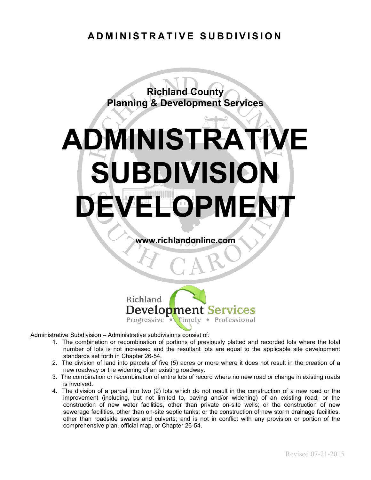#### **ADMINISTRATIVE SUBDIVISION**

**Richland County Planning & Development Services** 

# **ADMINISTRATIVE SUBDIVISION ELOPMENT**

**www.richlandonline.com**



Administrative Subdivision – Administrative subdivisions consist of:

- 1. The combination or recombination of portions of previously platted and recorded lots where the total number of lots is not increased and the resultant lots are equal to the applicable site development standards set forth in Chapter 26-54.
- 2. The division of land into parcels of five (5) acres or more where it does not result in the creation of a new roadway or the widening of an existing roadway.
- 3. The combination or recombination of entire lots of record where no new road or change in existing roads is involved.
- 4. The division of a parcel into two (2) lots which do not result in the construction of a new road or the improvement (including, but not limited to, paving and/or widening) of an existing road; or the construction of new water facilities, other than private on-site wells; or the construction of new sewerage facilities, other than on-site septic tanks; or the construction of new storm drainage facilities, other than roadside swales and culverts; and is not in conflict with any provision or portion of the comprehensive plan, official map, or Chapter 26-54.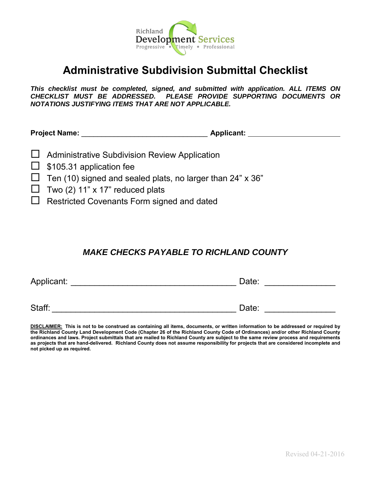

### **Administrative Subdivision Submittal Checklist**

*This checklist must be completed, signed, and submitted with application. ALL ITEMS ON CHECKLIST MUST BE ADDRESSED. PLEASE PROVIDE SUPPORTING DOCUMENTS OR NOTATIONS JUSTIFYING ITEMS THAT ARE NOT APPLICABLE.*

Project Name: **Applicant: Applicant: Applicant: Applicant: Applicant: Applicant: Applicant: Applicant: Applicant: Applicant: Applicant: Applicant: Applicant: Applicant: Applicant: Applicant:**

- $\Box$  Administrative Subdivision Review Application
- $\Box$  \$105.31 application fee
- $\Box$  Ten (10) signed and sealed plats, no larger than 24" x 36"
- $\Box$  Two (2) 11" x 17" reduced plats
- $\Box$  Restricted Covenants Form signed and dated

#### *MAKE CHECKS PAYABLE TO RICHLAND COUNTY*

| Applicant: | Date: |
|------------|-------|
|            |       |
| Staff:     | Date: |

**DISCLAIMER: This is not to be construed as containing all items, documents, or written information to be addressed or required by the Richland County Land Development Code (Chapter 26 of the Richland County Code of Ordinances) and/or other Richland County ordinances and laws. Project submittals that are mailed to Richland County are subject to the same review process and requirements as projects that are hand-delivered. Richland County does not assume responsibility for projects that are considered incomplete and not picked up as required.**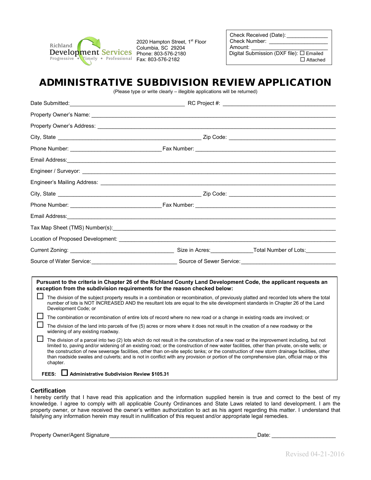

2020 Hampton Street, 1<sup>st</sup> Floor Columbia, SC 29204

Check Received (Date): Check Number: Amount: \_ Digital Submission (DXF file): Emailed Attached

#### ADMINISTRATIVE SUBDIVISION REVIEW APPLICATION

(Please type or write clearly – illegible applications will be returned)

|                         |                                                  | Property Owner's Address: Note that the state of the state of the state of the state of the state of the state of the state of the state of the state of the state of the state of the state of the state of the state of the                                                                                                                                                                                                                                                                                                                                                |  |
|-------------------------|--------------------------------------------------|------------------------------------------------------------------------------------------------------------------------------------------------------------------------------------------------------------------------------------------------------------------------------------------------------------------------------------------------------------------------------------------------------------------------------------------------------------------------------------------------------------------------------------------------------------------------------|--|
|                         |                                                  |                                                                                                                                                                                                                                                                                                                                                                                                                                                                                                                                                                              |  |
|                         |                                                  |                                                                                                                                                                                                                                                                                                                                                                                                                                                                                                                                                                              |  |
|                         |                                                  |                                                                                                                                                                                                                                                                                                                                                                                                                                                                                                                                                                              |  |
|                         |                                                  |                                                                                                                                                                                                                                                                                                                                                                                                                                                                                                                                                                              |  |
|                         |                                                  |                                                                                                                                                                                                                                                                                                                                                                                                                                                                                                                                                                              |  |
|                         |                                                  |                                                                                                                                                                                                                                                                                                                                                                                                                                                                                                                                                                              |  |
|                         |                                                  |                                                                                                                                                                                                                                                                                                                                                                                                                                                                                                                                                                              |  |
|                         |                                                  |                                                                                                                                                                                                                                                                                                                                                                                                                                                                                                                                                                              |  |
|                         |                                                  |                                                                                                                                                                                                                                                                                                                                                                                                                                                                                                                                                                              |  |
|                         |                                                  |                                                                                                                                                                                                                                                                                                                                                                                                                                                                                                                                                                              |  |
|                         |                                                  |                                                                                                                                                                                                                                                                                                                                                                                                                                                                                                                                                                              |  |
|                         |                                                  | Source of Water Service: <u>Communications Courter</u> Source of Sewer Service: Courter of Water Service Courter and Courter of Sewer Service:                                                                                                                                                                                                                                                                                                                                                                                                                               |  |
|                         |                                                  |                                                                                                                                                                                                                                                                                                                                                                                                                                                                                                                                                                              |  |
|                         |                                                  | Pursuant to the criteria in Chapter 26 of the Richland County Land Development Code, the applicant requests an<br>exception from the subdivision requirements for the reason checked below:                                                                                                                                                                                                                                                                                                                                                                                  |  |
| ΙI                      | Development Code; or                             | The division of the subject property results in a combination or recombination, of previously platted and recorded lots where the total<br>number of lots is NOT INCREASED AND the resultant lots are equal to the site development standards in Chapter 26 of the Land                                                                                                                                                                                                                                                                                                      |  |
| $\mathsf{L}$<br>ΙI<br>H |                                                  | The combination or recombination of entire lots of record where no new road or a change in existing roads are involved; or                                                                                                                                                                                                                                                                                                                                                                                                                                                   |  |
|                         | widening of any existing roadway.                | The division of the land into parcels of five (5) acres or more where it does not result in the creation of a new roadway or the                                                                                                                                                                                                                                                                                                                                                                                                                                             |  |
|                         | chapter.                                         | The division of a parcel into two (2) lots which do not result in the construction of a new road or the improvement including, but not<br>limited to, paving and/or widening of an existing road; or the construction of new water facilities, other than private, on-site wells; or<br>the construction of new sewerage facilities, other than on-site septic tanks; or the construction of new storm drainage facilities, other<br>than roadside swales and culverts; and is not in conflict with any provision or portion of the comprehensive plan, official map or this |  |
|                         | FEES: Administrative Subdivision Review \$105.31 |                                                                                                                                                                                                                                                                                                                                                                                                                                                                                                                                                                              |  |

#### **Certification**

I hereby certify that I have read this application and the information supplied herein is true and correct to the best of my knowledge. I agree to comply with all applicable County Ordinances and State Laws related to land development. I am the property owner, or have received the owner's written authorization to act as his agent regarding this matter. I understand that falsifying any information herein may result in nullification of this request and/or appropriate legal remedies.

Property Owner/Agent Signature extending the state of the state of the state of the Date:  $\Box$